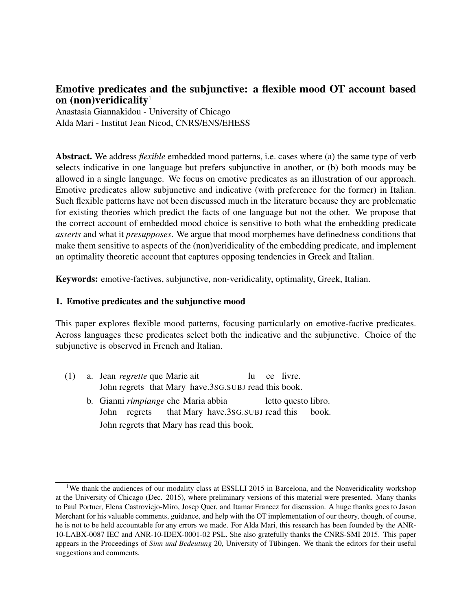# Emotive predicates and the subjunctive: a flexible mood OT account based on (non)veridicality<sup>1</sup>

Anastasia Giannakidou - University of Chicago Alda Mari - Institut Jean Nicod, CNRS/ENS/EHESS

Abstract. We address *flexible* embedded mood patterns, i.e. cases where (a) the same type of verb selects indicative in one language but prefers subjunctive in another, or (b) both moods may be allowed in a single language. We focus on emotive predicates as an illustration of our approach. Emotive predicates allow subjunctive and indicative (with preference for the former) in Italian. Such flexible patterns have not been discussed much in the literature because they are problematic for existing theories which predict the facts of one language but not the other. We propose that the correct account of embedded mood choice is sensitive to both what the embedding predicate *asserts* and what it *presupposes*. We argue that mood morphemes have definedness conditions that make them sensitive to aspects of the (non)veridicality of the embedding predicate, and implement an optimality theoretic account that captures opposing tendencies in Greek and Italian.

Keywords: emotive-factives, subjunctive, non-veridicality, optimality, Greek, Italian.

### 1. Emotive predicates and the subjunctive mood

This paper explores flexible mood patterns, focusing particularly on emotive-factive predicates. Across languages these predicates select both the indicative and the subjunctive. Choice of the subjunctive is observed in French and Italian.

- (1) a. Jean *regrette* que Marie ait John regrets that Mary have.3sG.SUBJ read this book. lu ce livre.
	- b. Gianni *rimpiange* che Maria abbia John regrets that Mary have.3SG.SUBJ read this letto questo libro. book. John regrets that Mary has read this book.

<sup>&</sup>lt;sup>1</sup>We thank the audiences of our modality class at ESSLLI 2015 in Barcelona, and the Nonveridicality workshop at the University of Chicago (Dec. 2015), where preliminary versions of this material were presented. Many thanks to Paul Portner, Elena Castroviejo-Miro, Josep Quer, and Itamar Francez for discussion. A huge thanks goes to Jason Merchant for his valuable comments, guidance, and help with the OT implementation of our theory, though, of course, he is not to be held accountable for any errors we made. For Alda Mari, this research has been founded by the ANR-10-LABX-0087 IEC and ANR-10-IDEX-0001-02 PSL. She also gratefully thanks the CNRS-SMI 2015. This paper appears in the Proceedings of *Sinn und Bedeutung* 20, University of Tübingen. We thank the editors for their useful suggestions and comments.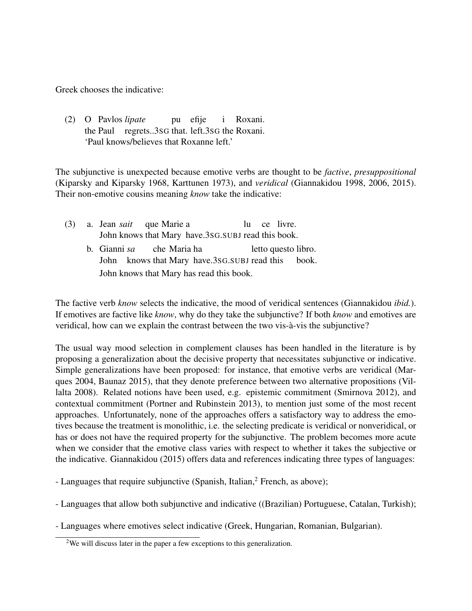Greek chooses the indicative:

(2) O Pavlos *lipate* the Paul regrets..3SG that. left.3SG the Roxani. pu efije i Roxani. 'Paul knows/believes that Roxanne left.'

The subjunctive is unexpected because emotive verbs are thought to be *factive*, *presuppositional* (Kiparsky and Kiparsky 1968, Karttunen 1973), and *veridical* (Giannakidou 1998, 2006, 2015). Their non-emotive cousins meaning *know* take the indicative:

|  |                                          | (3) a. Jean <i>sait</i> que Marie a |                                                     |  |  | lu ce livre. |                     |  |
|--|------------------------------------------|-------------------------------------|-----------------------------------------------------|--|--|--------------|---------------------|--|
|  |                                          |                                     | John knows that Mary have.3sG. SUBJ read this book. |  |  |              |                     |  |
|  |                                          | b. Gianni sa che Maria ha           |                                                     |  |  |              | letto questo libro. |  |
|  |                                          |                                     | John knows that Mary have.3sG.SUBJ read this book.  |  |  |              |                     |  |
|  | John knows that Mary has read this book. |                                     |                                                     |  |  |              |                     |  |

The factive verb *know* selects the indicative, the mood of veridical sentences (Giannakidou *ibid.*). If emotives are factive like *know*, why do they take the subjunctive? If both *know* and emotives are veridical, how can we explain the contrast between the two vis-à-vis the subjunctive?

The usual way mood selection in complement clauses has been handled in the literature is by proposing a generalization about the decisive property that necessitates subjunctive or indicative. Simple generalizations have been proposed: for instance, that emotive verbs are veridical (Marques 2004, Baunaz 2015), that they denote preference between two alternative propositions (Villalta 2008). Related notions have been used, e.g. epistemic commitment (Smirnova 2012), and contextual commitment (Portner and Rubinstein 2013), to mention just some of the most recent approaches. Unfortunately, none of the approaches offers a satisfactory way to address the emotives because the treatment is monolithic, i.e. the selecting predicate is veridical or nonveridical, or has or does not have the required property for the subjunctive. The problem becomes more acute when we consider that the emotive class varies with respect to whether it takes the subjective or the indicative. Giannakidou (2015) offers data and references indicating three types of languages:

- Languages that require subjunctive (Spanish, Italian,<sup>2</sup> French, as above);

- Languages that allow both subjunctive and indicative ((Brazilian) Portuguese, Catalan, Turkish);
- Languages where emotives select indicative (Greek, Hungarian, Romanian, Bulgarian).

<sup>&</sup>lt;sup>2</sup>We will discuss later in the paper a few exceptions to this generalization.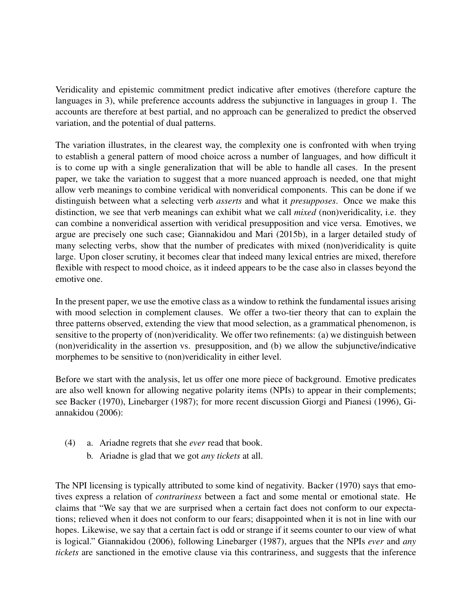Veridicality and epistemic commitment predict indicative after emotives (therefore capture the languages in 3), while preference accounts address the subjunctive in languages in group 1. The accounts are therefore at best partial, and no approach can be generalized to predict the observed variation, and the potential of dual patterns.

The variation illustrates, in the clearest way, the complexity one is confronted with when trying to establish a general pattern of mood choice across a number of languages, and how difficult it is to come up with a single generalization that will be able to handle all cases. In the present paper, we take the variation to suggest that a more nuanced approach is needed, one that might allow verb meanings to combine veridical with nonveridical components. This can be done if we distinguish between what a selecting verb *asserts* and what it *presupposes*. Once we make this distinction, we see that verb meanings can exhibit what we call *mixed* (non)veridicality, i.e. they can combine a nonveridical assertion with veridical presupposition and vice versa. Emotives, we argue are precisely one such case; Giannakidou and Mari (2015b), in a larger detailed study of many selecting verbs, show that the number of predicates with mixed (non)veridicality is quite large. Upon closer scrutiny, it becomes clear that indeed many lexical entries are mixed, therefore flexible with respect to mood choice, as it indeed appears to be the case also in classes beyond the emotive one.

In the present paper, we use the emotive class as a window to rethink the fundamental issues arising with mood selection in complement clauses. We offer a two-tier theory that can to explain the three patterns observed, extending the view that mood selection, as a grammatical phenomenon, is sensitive to the property of (non)veridicality. We offer two refinements: (a) we distinguish between (non)veridicality in the assertion vs. presupposition, and (b) we allow the subjunctive/indicative morphemes to be sensitive to (non)veridicality in either level.

Before we start with the analysis, let us offer one more piece of background. Emotive predicates are also well known for allowing negative polarity items (NPIs) to appear in their complements; see Backer (1970), Linebarger (1987); for more recent discussion Giorgi and Pianesi (1996), Giannakidou (2006):

- (4) a. Ariadne regrets that she *ever* read that book.
	- b. Ariadne is glad that we got *any tickets* at all.

The NPI licensing is typically attributed to some kind of negativity. Backer (1970) says that emotives express a relation of *contrariness* between a fact and some mental or emotional state. He claims that "We say that we are surprised when a certain fact does not conform to our expectations; relieved when it does not conform to our fears; disappointed when it is not in line with our hopes. Likewise, we say that a certain fact is odd or strange if it seems counter to our view of what is logical." Giannakidou (2006), following Linebarger (1987), argues that the NPIs *ever* and *any tickets* are sanctioned in the emotive clause via this contrariness, and suggests that the inference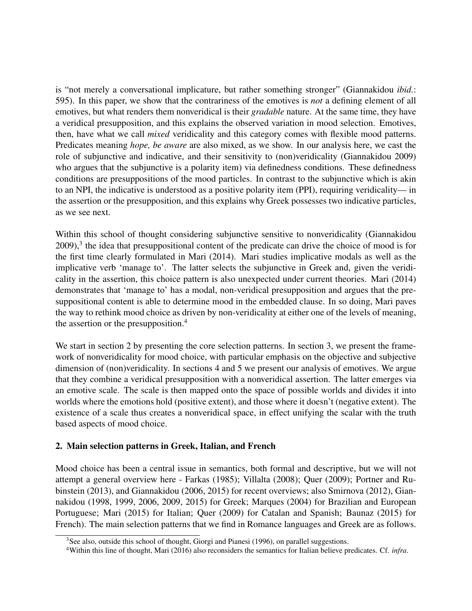is "not merely a conversational implicature, but rather something stronger" (Giannakidou *ibid.*: 595). In this paper, we show that the contrariness of the emotives is *not* a defining element of all emotives, but what renders them nonveridical is their *gradable* nature. At the same time, they have a veridical presupposition, and this explains the observed variation in mood selection. Emotives, then, have what we call *mixed* veridicality and this category comes with flexible mood patterns. Predicates meaning *hope, be aware* are also mixed, as we show. In our analysis here, we cast the role of subjunctive and indicative, and their sensitivity to (non)veridicality (Giannakidou 2009) who argues that the subjunctive is a polarity item) via definedness conditions. These definedness conditions are presuppositions of the mood particles. In contrast to the subjunctive which is akin to an NPI, the indicative is understood as a positive polarity item (PPI), requiring veridicality— in the assertion or the presupposition, and this explains why Greek possesses two indicative particles, as we see next.

Within this school of thought considering subjunctive sensitive to nonveridicality (Giannakidou 2009),<sup>3</sup> the idea that presuppositional content of the predicate can drive the choice of mood is for the first time clearly formulated in Mari (2014). Mari studies implicative modals as well as the implicative verb 'manage to'. The latter selects the subjunctive in Greek and, given the veridicality in the assertion, this choice pattern is also unexpected under current theories. Mari (2014) demonstrates that 'manage to' has a modal, non-veridical presupposition and argues that the presuppositional content is able to determine mood in the embedded clause. In so doing, Mari paves the way to rethink mood choice as driven by non-veridicality at either one of the levels of meaning, the assertion or the presupposition.<sup>4</sup>

We start in section 2 by presenting the core selection patterns. In section 3, we present the framework of nonveridicality for mood choice, with particular emphasis on the objective and subjective dimension of (non)veridicality. In sections 4 and 5 we present our analysis of emotives. We argue that they combine a veridical presupposition with a nonveridical assertion. The latter emerges via an emotive scale. The scale is then mapped onto the space of possible worlds and divides it into worlds where the emotions hold (positive extent), and those where it doesn't (negative extent). The existence of a scale thus creates a nonveridical space, in effect unifying the scalar with the truth based aspects of mood choice.

## 2. Main selection patterns in Greek, Italian, and French

Mood choice has been a central issue in semantics, both formal and descriptive, but we will not attempt a general overview here - Farkas (1985); Villalta (2008); Quer (2009); Portner and Rubinstein (2013), and Giannakidou (2006, 2015) for recent overviews; also Smirnova (2012), Giannakidou (1998, 1999, 2006, 2009, 2015) for Greek; Marques (2004) for Brazilian and European Portuguese; Mari (2015) for Italian; Quer (2009) for Catalan and Spanish; Baunaz (2015) for French). The main selection patterns that we find in Romance languages and Greek are as follows.

<sup>&</sup>lt;sup>3</sup>See also, outside this school of thought, Giorgi and Pianesi (1996), on parallel suggestions.

<sup>4</sup>Within this line of thought, Mari (2016) also reconsiders the semantics for Italian believe predicates. Cf. *infra*.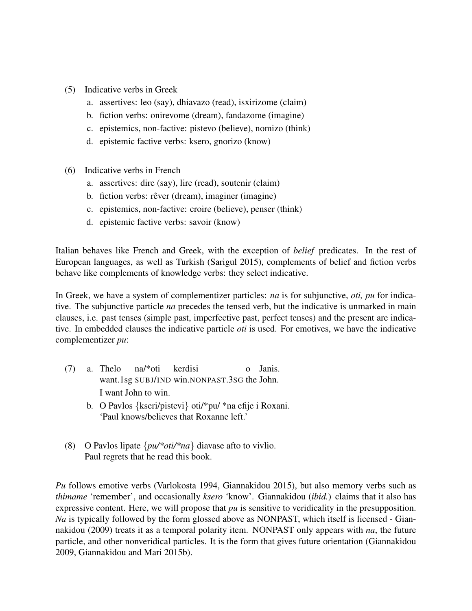- (5) Indicative verbs in Greek
	- a. assertives: leo (say), dhiavazo (read), isxirizome (claim)
	- b. fiction verbs: onirevome (dream), fandazome (imagine)
	- c. epistemics, non-factive: pistevo (believe), nomizo (think)
	- d. epistemic factive verbs: ksero, gnorizo (know)
- (6) Indicative verbs in French
	- a. assertives: dire (say), lire (read), soutenir (claim)
	- b. fiction verbs: rêver (dream), imaginer (imagine)
	- c. epistemics, non-factive: croire (believe), penser (think)
	- d. epistemic factive verbs: savoir (know)

Italian behaves like French and Greek, with the exception of *belief* predicates. In the rest of European languages, as well as Turkish (Sarigul 2015), complements of belief and fiction verbs behave like complements of knowledge verbs: they select indicative.

In Greek, we have a system of complementizer particles: *na* is for subjunctive, *oti, pu* for indicative. The subjunctive particle *na* precedes the tensed verb, but the indicative is unmarked in main clauses, i.e. past tenses (simple past, imperfective past, perfect tenses) and the present are indicative. In embedded clauses the indicative particle *oti* is used. For emotives, we have the indicative complementizer *pu*:

- (7) a. Thelo na/\*oti kerdisi want.1sg SUBJ/IND win.NONPAST.3SG the John. o Janis. I want John to win.
	- b. O Pavlos {kseri/pistevi} oti/\*pu/ \*na efije i Roxani. 'Paul knows/believes that Roxanne left.'
- (8) O Pavlos lipate {*pu/\*oti/\*na*} diavase afto to vivlio. Paul regrets that he read this book.

*Pu* follows emotive verbs (Varlokosta 1994, Giannakidou 2015), but also memory verbs such as *thimame* 'remember', and occasionally *ksero* 'know'. Giannakidou (*ibid.*) claims that it also has expressive content. Here, we will propose that *pu* is sensitive to veridicality in the presupposition. *Na* is typically followed by the form glossed above as NONPAST, which itself is licensed - Giannakidou (2009) treats it as a temporal polarity item. NONPAST only appears with *na*, the future particle, and other nonveridical particles. It is the form that gives future orientation (Giannakidou 2009, Giannakidou and Mari 2015b).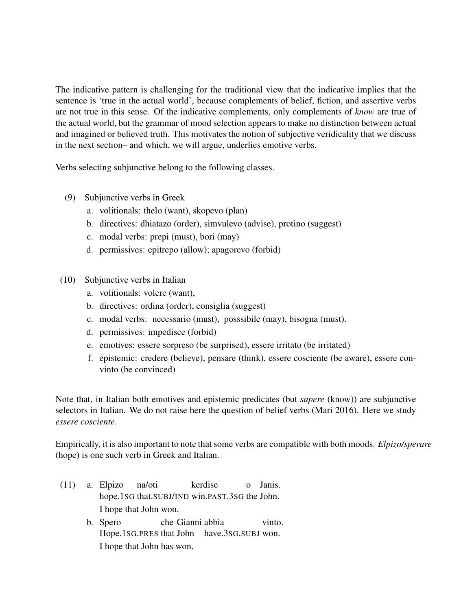The indicative pattern is challenging for the traditional view that the indicative implies that the sentence is 'true in the actual world', because complements of belief, fiction, and assertive verbs are not true in this sense. Of the indicative complements, only complements of *know* are true of the actual world, but the grammar of mood selection appears to make no distinction between actual and imagined or believed truth. This motivates the notion of subjective veridicality that we discuss in the next section– and which, we will argue, underlies emotive verbs.

Verbs selecting subjunctive belong to the following classes.

- (9) Subjunctive verbs in Greek
	- a. volitionals: thelo (want), skopevo (plan)
	- b. directives: dhiatazo (order), simvulevo (advise), protino (suggest)
	- c. modal verbs: prepi (must), bori (may)
	- d. permissives: epitrepo (allow); apagorevo (forbid)
- (10) Subjunctive verbs in Italian
	- a. volitionals: volere (want),
	- b. directives: ordina (order), consiglia (suggest)
	- c. modal verbs: necessario (must), posssibile (may), bisogna (must).
	- d. permissives: impedisce (forbid)
	- e. emotives: essere sorpreso (be surprised), essere irritato (be irritated)
	- f. epistemic: credere (believe), pensare (think), essere cosciente (be aware), essere convinto (be convinced)

Note that, in Italian both emotives and epistemic predicates (but *sapere* (know)) are subjunctive selectors in Italian. We do not raise here the question of belief verbs (Mari 2016). Here we study *essere cosciente*.

Empirically, it is also important to note that some verbs are compatible with both moods. *Elpizo/sperare* (hope) is one such verb in Greek and Italian.

- (11) a. Elpizo hope.1SG that.SUBJ/IND win.PAST.3SG the John. na/oti kerdise o Janis. I hope that John won.
	- b. Spero Hope.1SG.PRES that John have.3SG.SUBJ won. che Gianni abbia vinto. I hope that John has won.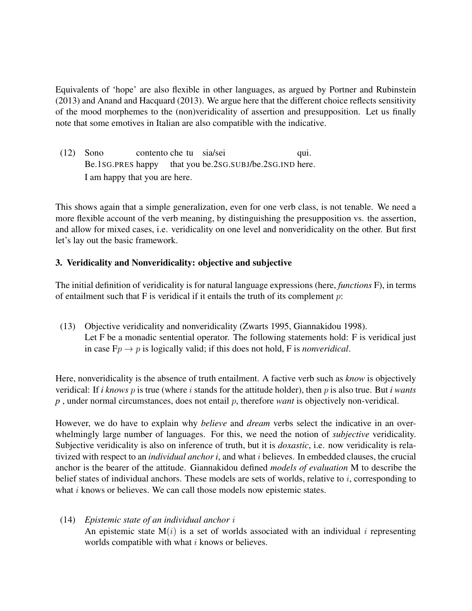Equivalents of 'hope' are also flexible in other languages, as argued by Portner and Rubinstein (2013) and Anand and Hacquard (2013). We argue here that the different choice reflects sensitivity of the mood morphemes to the (non)veridicality of assertion and presupposition. Let us finally note that some emotives in Italian are also compatible with the indicative.

(12) Sono Be.1SG.PRES happy contento che tu sia/sei that you be.2SG.SUBJ/be.2SG.IND here. qui. I am happy that you are here.

This shows again that a simple generalization, even for one verb class, is not tenable. We need a more flexible account of the verb meaning, by distinguishing the presupposition vs. the assertion, and allow for mixed cases, i.e. veridicality on one level and nonveridicality on the other. But first let's lay out the basic framework.

## 3. Veridicality and Nonveridicality: objective and subjective

The initial definition of veridicality is for natural language expressions (here, *functions* F), in terms of entailment such that  $F$  is veridical if it entails the truth of its complement  $p$ :

(13) Objective veridicality and nonveridicality (Zwarts 1995, Giannakidou 1998). Let F be a monadic sentential operator. The following statements hold: F is veridical just in case  $F_p \rightarrow p$  is logically valid; if this does not hold, F is *nonveridical*.

Here, nonveridicality is the absence of truth entailment. A factive verb such as *know* is objectively veridical: If *i knows* p is true (where i stands for the attitude holder), then p is also true. But *i wants p* , under normal circumstances, does not entail p, therefore *want* is objectively non-veridical.

However, we do have to explain why *believe* and *dream* verbs select the indicative in an overwhelmingly large number of languages. For this, we need the notion of *subjective* veridicality. Subjective veridicality is also on inference of truth, but it is *doxastic*, i.e. now veridicality is relativized with respect to an *individual anchor i*, and what i believes. In embedded clauses, the crucial anchor is the bearer of the attitude. Giannakidou defined *models of evaluation* M to describe the belief states of individual anchors. These models are sets of worlds, relative to i, corresponding to what  $i$  knows or believes. We can call those models now epistemic states.

(14) *Epistemic state of an individual anchor* i An epistemic state  $M(i)$  is a set of worlds associated with an individual i representing worlds compatible with what  $i$  knows or believes.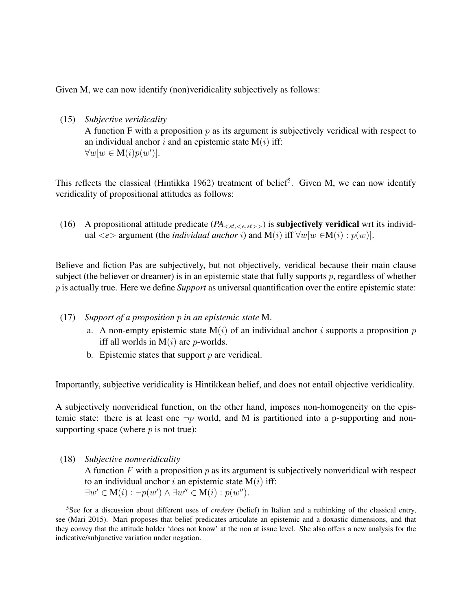Given M, we can now identify (non)veridicality subjectively as follows:

(15) *Subjective veridicality* A function F with a proposition  $p$  as its argument is subjectively veridical with respect to an individual anchor i and an epistemic state  $M(i)$  iff:  $\forall w[w \in M(i)p(w')].$ 

This reflects the classical (Hintikka 1962) treatment of belief<sup>5</sup>. Given M, we can now identify veridicality of propositional attitudes as follows:

(16) A propositional attitude predicate  $(PA_{\leq st, \leq e, st>>})$  is **subjectively veridical** wrt its individual  $\langle e \rangle$  argument (the *individual anchor i*) and M(*i*) iff  $\forall w[w \in M(i) : p(w)]$ .

Believe and fiction Pas are subjectively, but not objectively, veridical because their main clause subject (the believer or dreamer) is in an epistemic state that fully supports  $p$ , regardless of whether p is actually true. Here we define *Support* as universal quantification over the entire epistemic state:

- (17) *Support of a proposition* p *in an epistemic state* M.
	- a. A non-empty epistemic state  $M(i)$  of an individual anchor i supports a proposition p iff all worlds in  $M(i)$  are *p*-worlds.
	- b. Epistemic states that support  $p$  are veridical.

Importantly, subjective veridicality is Hintikkean belief, and does not entail objective veridicality.

A subjectively nonveridical function, on the other hand, imposes non-homogeneity on the epistemic state: there is at least one  $\neg p$  world, and M is partitioned into a p-supporting and nonsupporting space (where  $p$  is not true):

(18) *Subjective nonveridicality*

A function  $F$  with a proposition  $p$  as its argument is subjectively nonveridical with respect to an individual anchor i an epistemic state  $M(i)$  iff:  $\exists w' \in M(i) : \neg p(w') \land \exists w'' \in M(i) : p(w'').$ 

<sup>5</sup>See for a discussion about different uses of *credere* (belief) in Italian and a rethinking of the classical entry, see (Mari 2015). Mari proposes that belief predicates articulate an epistemic and a doxastic dimensions, and that they convey that the attitude holder 'does not know' at the non at issue level. She also offers a new analysis for the indicative/subjunctive variation under negation.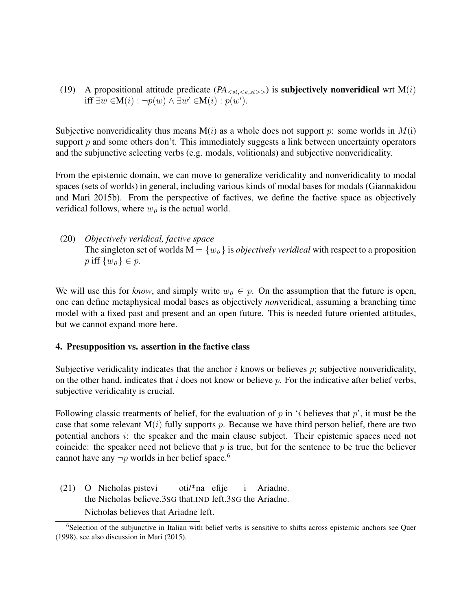(19) A propositional attitude predicate  $(PA_{\leq st \leq e, st \geq 0})$  is **subjectively nonveridical** wrt  $M(i)$ iff  $\exists w \in M(i) : \neg p(w) \land \exists w' \in M(i) : p(w').$ 

Subjective nonveridicality thus means  $M(i)$  as a whole does not support p: some worlds in  $M(i)$ support  $p$  and some others don't. This immediately suggests a link between uncertainty operators and the subjunctive selecting verbs (e.g. modals, volitionals) and subjective nonveridicality.

From the epistemic domain, we can move to generalize veridicality and nonveridicality to modal spaces (sets of worlds) in general, including various kinds of modal bases for modals (Giannakidou and Mari 2015b). From the perspective of factives, we define the factive space as objectively veridical follows, where  $w_0$  is the actual world.

(20) *Objectively veridical, factive space* The singleton set of worlds  $M = \{w_0\}$  is *objectively veridical* with respect to a proposition p iff  $\{w_0\} \in p$ .

We will use this for *know*, and simply write  $w_0 \in p$ . On the assumption that the future is open, one can define metaphysical modal bases as objectively *non*veridical, assuming a branching time model with a fixed past and present and an open future. This is needed future oriented attitudes, but we cannot expand more here.

#### 4. Presupposition vs. assertion in the factive class

Subjective veridicality indicates that the anchor  $i$  knows or believes  $p$ ; subjective nonveridicality, on the other hand, indicates that  $i$  does not know or believe  $p$ . For the indicative after belief verbs, subjective veridicality is crucial.

Following classic treatments of belief, for the evaluation of p in 'i believes that p', it must be the case that some relevant  $M(i)$  fully supports p. Because we have third person belief, there are two potential anchors *i*: the speaker and the main clause subject. Their epistemic spaces need not coincide: the speaker need not believe that  $p$  is true, but for the sentence to be true the believer cannot have any  $\neg p$  worlds in her belief space.<sup>6</sup>

(21) O Nicholas pistevi the Nicholas believe.3SG that.IND left.3SG the Ariadne. oti/\*na efije i Ariadne. Nicholas believes that Ariadne left.

<sup>&</sup>lt;sup>6</sup>Selection of the subjunctive in Italian with belief verbs is sensitive to shifts across epistemic anchors see Quer (1998), see also discussion in Mari (2015).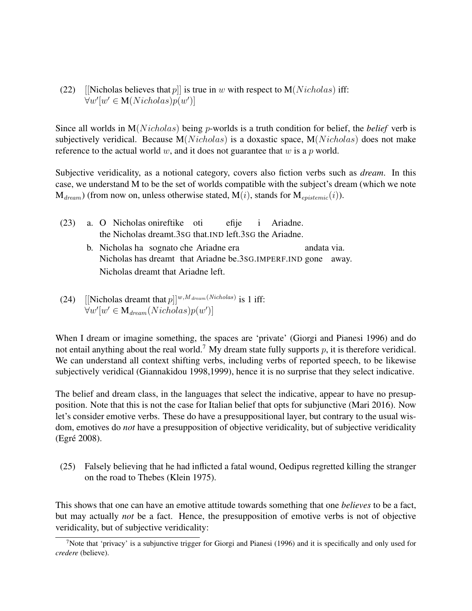(22) [Nicholas believes that p] is true in w with respect to  $M(Nicholas)$  iff:  $\forall w'[w' \in M(Nicholas)p(w')]$ 

Since all worlds in  $M(Nicholas)$  being *p*-worlds is a truth condition for belief, the *belief* verb is subjectively veridical. Because  $M(Nicholas)$  is a doxastic space,  $M(Nicholas)$  does not make reference to the actual world w, and it does not guarantee that w is a p world.

Subjective veridicality, as a notional category, covers also fiction verbs such as *dream*. In this case, we understand M to be the set of worlds compatible with the subject's dream (which we note  $M_{dream}$ ) (from now on, unless otherwise stated,  $M(i)$ , stands for  $M_{existence}(i)$ ).

- $(23)$ the Nicholas dreamt.3SG that.IND left.3SG the Ariadne. Nicholas onireftike oti efije i Ariadne. b. Nicholas ha sognato che Ariadne era Nicholas has dreamt that Ariadne be.3SG.IMPERF.IND gone away. andata via. Nicholas dreamt that Ariadne left.
- (24) [Nicholas dreamt that  $p$ ]]<sup>*w*,*M*</sup> dream(Nicholas) is 1 iff:  $\forall w'[w' \in M_{\text{dream}}(Nicholas)p(w')]$

When I dream or imagine something, the spaces are 'private' (Giorgi and Pianesi 1996) and do not entail anything about the real world.<sup>7</sup> My dream state fully supports p, it is therefore veridical. We can understand all context shifting verbs, including verbs of reported speech, to be likewise subjectively veridical (Giannakidou 1998,1999), hence it is no surprise that they select indicative.

The belief and dream class, in the languages that select the indicative, appear to have no presupposition. Note that this is not the case for Italian belief that opts for subjunctive (Mari 2016). Now let's consider emotive verbs. These do have a presuppositional layer, but contrary to the usual wisdom, emotives do *not* have a presupposition of objective veridicality, but of subjective veridicality (Egré 2008).

(25) Falsely believing that he had inflicted a fatal wound, Oedipus regretted killing the stranger on the road to Thebes (Klein 1975).

This shows that one can have an emotive attitude towards something that one *believes* to be a fact, but may actually *not* be a fact. Hence, the presupposition of emotive verbs is not of objective veridicality, but of subjective veridicality:

<sup>&</sup>lt;sup>7</sup>Note that 'privacy' is a subjunctive trigger for Giorgi and Pianesi (1996) and it is specifically and only used for *credere* (believe).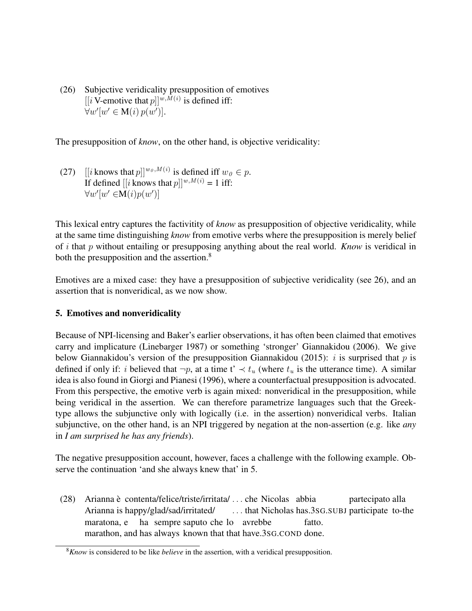(26) Subjective veridicality presupposition of emotives [[i V-emotive that  $p$ ]]<sup>w,M(i)</sup> is defined iff:  $\forall w'[w' \in M(i) p(w')]$ .

The presupposition of *know*, on the other hand, is objective veridicality:

(27)  $[[i \text{ knows that } p]]^{w_0, M(i)}$  is defined iff  $w_0 \in p$ . If defined  $[[i]$  knows that  $p]^{w,M(i)} = 1$  iff:  $\forall w'[w' \in M(i)p(w')]$ 

This lexical entry captures the factivitity of *know* as presupposition of objective veridicality, while at the same time distinguishing *know* from emotive verbs where the presupposition is merely belief of i that p without entailing or presupposing anything about the real world. *Know* is veridical in both the presupposition and the assertion.<sup>8</sup>

Emotives are a mixed case: they have a presupposition of subjective veridicality (see 26), and an assertion that is nonveridical, as we now show.

## 5. Emotives and nonveridicality

Because of NPI-licensing and Baker's earlier observations, it has often been claimed that emotives carry and implicature (Linebarger 1987) or something 'stronger' Giannakidou (2006). We give below Giannakidou's version of the presupposition Giannakidou (2015): i is surprised that p is defined if only if: *i* believed that  $\neg p$ , at a time  $t' \prec t_u$  (where  $t_u$  is the utterance time). A similar idea is also found in Giorgi and Pianesi (1996), where a counterfactual presupposition is advocated. From this perspective, the emotive verb is again mixed: nonveridical in the presupposition, while being veridical in the assertion. We can therefore parametrize languages such that the Greektype allows the subjunctive only with logically (i.e. in the assertion) nonveridical verbs. Italian subjunctive, on the other hand, is an NPI triggered by negation at the non-assertion (e.g. like *any* in *I am surprised he has any friends*).

The negative presupposition account, however, faces a challenge with the following example. Observe the continuation 'and she always knew that' in 5.

(28) Arianna è contenta/felice/triste/irritata/ ... che Nicolas abbia Arianna is happy/glad/sad/irritated/ . . . that Nicholas has.3SG.SUBJ participate to-the partecipato alla maratona, e ha sempre saputo che lo avrebbe marathon, and has always known that that have.3SG.COND done. fatto.

<sup>8</sup>*Know* is considered to be like *believe* in the assertion, with a veridical presupposition.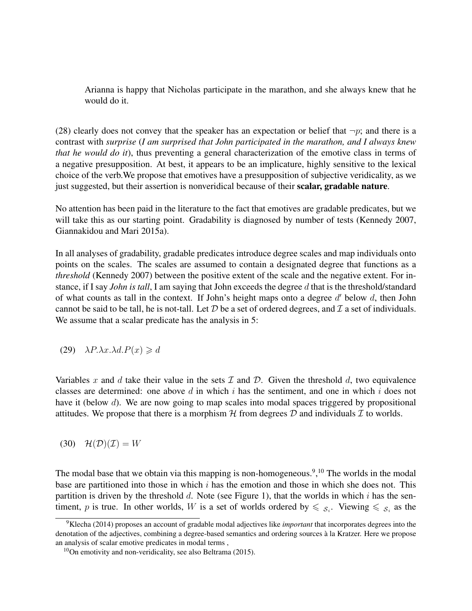Arianna is happy that Nicholas participate in the marathon, and she always knew that he would do it.

(28) clearly does not convey that the speaker has an expectation or belief that  $\neg p$ ; and there is a contrast with *surprise* (*I am surprised that John participated in the marathon, and I always knew that he would do it*), thus preventing a general characterization of the emotive class in terms of a negative presupposition. At best, it appears to be an implicature, highly sensitive to the lexical choice of the verb.We propose that emotives have a presupposition of subjective veridicality, as we just suggested, but their assertion is nonveridical because of their scalar, gradable nature.

No attention has been paid in the literature to the fact that emotives are gradable predicates, but we will take this as our starting point. Gradability is diagnosed by number of tests (Kennedy 2007, Giannakidou and Mari 2015a).

In all analyses of gradability, gradable predicates introduce degree scales and map individuals onto points on the scales. The scales are assumed to contain a designated degree that functions as a *threshold* (Kennedy 2007) between the positive extent of the scale and the negative extent. For instance, if I say *John is tall*, I am saying that John exceeds the degree d that is the threshold/standard of what counts as tall in the context. If John's height maps onto a degree  $d'$  below  $d$ , then John cannot be said to be tall, he is not-tall. Let  $D$  be a set of ordered degrees, and  $\mathcal I$  a set of individuals. We assume that a scalar predicate has the analysis in 5:

(29)  $\lambda P \cdot \lambda x \cdot \lambda d \cdot P(x) \geq d$ 

Variables x and d take their value in the sets  $\mathcal I$  and  $\mathcal D$ . Given the threshold d, two equivalence classes are determined: one above d in which i has the sentiment, and one in which i does not have it (below d). We are now going to map scales into modal spaces triggered by propositional attitudes. We propose that there is a morphism  $H$  from degrees  $D$  and individuals  $T$  to worlds.

(30)  $\mathcal{H}(\mathcal{D})(\mathcal{I}) = W$ 

The modal base that we obtain via this mapping is non-homogeneous.<sup>9</sup>,<sup>10</sup> The worlds in the modal base are partitioned into those in which  $i$  has the emotion and those in which she does not. This partition is driven by the threshold d. Note (see Figure 1), that the worlds in which i has the sentiment, p is true. In other worlds, W is a set of worlds ordered by  $\leq \xi_i$ . Viewing  $\leq \xi_i$  as the

<sup>9</sup>Klecha (2014) proposes an account of gradable modal adjectives like *important* that incorporates degrees into the denotation of the adjectives, combining a degree-based semantics and ordering sources a la Kratzer. Here we propose ` an analysis of scalar emotive predicates in modal terms ,

 $10$ On emotivity and non-veridicality, see also Beltrama (2015).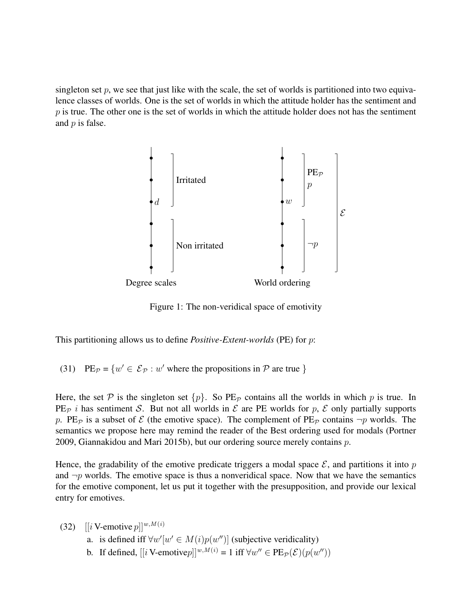singleton set p, we see that just like with the scale, the set of worlds is partitioned into two equivalence classes of worlds. One is the set of worlds in which the attitude holder has the sentiment and  $p$  is true. The other one is the set of worlds in which the attitude holder does not has the sentiment and  $p$  is false.



Figure 1: The non-veridical space of emotivity

This partitioning allows us to define *Positive-Extent-worlds* (PE) for p:

(31) PE<sub>P</sub> = { $w' \in \mathcal{E}_p : w'$  where the propositions in P are true }

Here, the set P is the singleton set  $\{p\}$ . So PE<sub>P</sub> contains all the worlds in which p is true. In PE<sub>p</sub> i has sentiment S. But not all worlds in  $\mathcal E$  are PE worlds for p,  $\mathcal E$  only partially supports p. PE<sub>P</sub> is a subset of  $\mathcal E$  (the emotive space). The complement of PE<sub>P</sub> contains  $\neg p$  worlds. The semantics we propose here may remind the reader of the Best ordering used for modals (Portner 2009, Giannakidou and Mari 2015b), but our ordering source merely contains p.

Hence, the gradability of the emotive predicate triggers a modal space  $\mathcal{E}$ , and partitions it into p and  $\neg p$  worlds. The emotive space is thus a nonveridical space. Now that we have the semantics for the emotive component, let us put it together with the presupposition, and provide our lexical entry for emotives.

(32) 
$$
[[i \text{ V-emotive } p]]^{w, M(i)}
$$

- a. is defined iff  $\forall w'[w' \in M(i)p(w'')]$  (subjective veridicality)
- b. If defined,  $[[i \text{ V-emotive} p]]^{w,M(i)} = 1$  iff  $\forall w'' \in \text{PE}_{\mathcal{P}}(\mathcal{E})(p(w''))$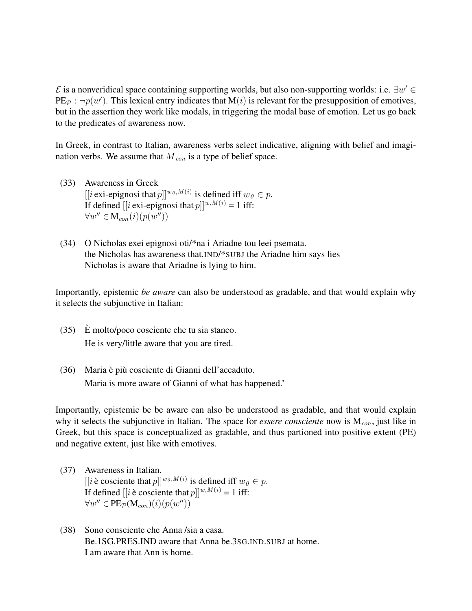$\mathcal E$  is a nonveridical space containing supporting worlds, but also non-supporting worlds: i.e.  $\exists w' \in$ PE<sub>P</sub>:  $\neg p(w')$ . This lexical entry indicates that M(*i*) is relevant for the presupposition of emotives, but in the assertion they work like modals, in triggering the modal base of emotion. Let us go back to the predicates of awareness now.

In Greek, in contrast to Italian, awareness verbs select indicative, aligning with belief and imagination verbs. We assume that  $M_{con}$  is a type of belief space.

- (33) Awareness in Greek [[i exi-epignosi that  $p$ ]]<sup> $w_0$ , $M(i)$  is defined iff  $w_0 \in p$ .</sup> If defined  $[[i \text{ exi-epignosi that } p]]^{w,M(i)} = 1$  iff:  $\forall w'' \in M_{con}(i)(p(w''))$
- (34) O Nicholas exei epignosi oti/\*na i Ariadne tou leei psemata. the Nicholas has awareness that.IND/\*SUBJ the Ariadne him says lies Nicholas is aware that Ariadne is lying to him.

Importantly, epistemic *be aware* can also be understood as gradable, and that would explain why it selects the subjunctive in Italian:

- $(35)$  E molto/poco cosciente che tu sia stanco. He is very/little aware that you are tired.
- $(36)$  Maria è più cosciente di Gianni dell'accaduto. Maria is more aware of Gianni of what has happened.'

Importantly, epistemic be be aware can also be understood as gradable, and that would explain why it selects the subjunctive in Italian. The space for *essere consciente* now is  $M_{con}$ , just like in Greek, but this space is conceptualized as gradable, and thus partioned into positive extent (PE) and negative extent, just like with emotives.

- (37) Awareness in Italian. [[i è cosciente that  $p$ ]]<sup> $w_0$ , $M(i)$ </sup> is defined iff  $w_0 \in p$ . If defined  $[[i \text{ è cosciente that } p]]^{w,M(i)} = 1$  iff:  $\forall w'' \in PE_{\mathcal{P}}(\mathbf{M}_{con})(i)(p(w''))$
- (38) Sono consciente che Anna /sia a casa. Be.1SG.PRES.IND aware that Anna be.3SG.IND.SUBJ at home. I am aware that Ann is home.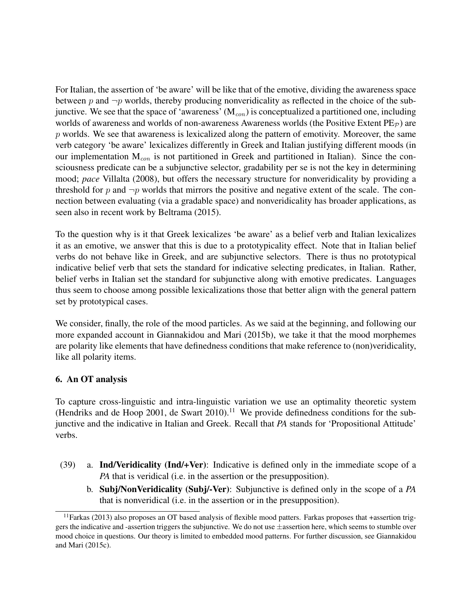For Italian, the assertion of 'be aware' will be like that of the emotive, dividing the awareness space between p and  $\neg p$  worlds, thereby producing nonveridicality as reflected in the choice of the subjunctive. We see that the space of 'awareness'  $(M_{con})$  is conceptualized a partitioned one, including worlds of awareness and worlds of non-awareness Awareness worlds (the Positive Extent  $PE_{\mathcal{P}}$ ) are  $p$  worlds. We see that awareness is lexicalized along the pattern of emotivity. Moreover, the same verb category 'be aware' lexicalizes differently in Greek and Italian justifying different moods (in our implementation  $M_{con}$  is not partitioned in Greek and partitioned in Italian). Since the consciousness predicate can be a subjunctive selector, gradability per se is not the key in determining mood; *pace* Villalta (2008), but offers the necessary structure for nonveridicality by providing a threshold for p and  $\neg p$  worlds that mirrors the positive and negative extent of the scale. The connection between evaluating (via a gradable space) and nonveridicality has broader applications, as seen also in recent work by Beltrama (2015).

To the question why is it that Greek lexicalizes 'be aware' as a belief verb and Italian lexicalizes it as an emotive, we answer that this is due to a prototypicality effect. Note that in Italian belief verbs do not behave like in Greek, and are subjunctive selectors. There is thus no prototypical indicative belief verb that sets the standard for indicative selecting predicates, in Italian. Rather, belief verbs in Italian set the standard for subjunctive along with emotive predicates. Languages thus seem to choose among possible lexicalizations those that better align with the general pattern set by prototypical cases.

We consider, finally, the role of the mood particles. As we said at the beginning, and following our more expanded account in Giannakidou and Mari (2015b), we take it that the mood morphemes are polarity like elements that have definedness conditions that make reference to (non)veridicality, like all polarity items.

## 6. An OT analysis

To capture cross-linguistic and intra-linguistic variation we use an optimality theoretic system (Hendriks and de Hoop 2001, de Swart 2010).<sup>11</sup> We provide definedness conditions for the subjunctive and the indicative in Italian and Greek. Recall that *PA* stands for 'Propositional Attitude' verbs.

- (39) a. Ind/Veridicality (Ind/+Ver): Indicative is defined only in the immediate scope of a *PA* that is veridical (i.e. in the assertion or the presupposition).
	- b. Subj/NonVeridicality (Subj/-Ver): Subjunctive is defined only in the scope of a *PA* that is nonveridical (i.e. in the assertion or in the presupposition).

 $11$ Farkas (2013) also proposes an OT based analysis of flexible mood patters. Farkas proposes that +assertion triggers the indicative and -assertion triggers the subjunctive. We do not use ±assertion here, which seems to stumble over mood choice in questions. Our theory is limited to embedded mood patterns. For further discussion, see Giannakidou and Mari (2015c).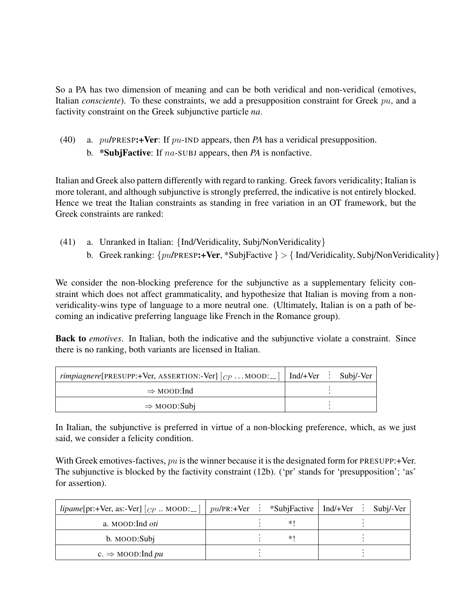So a PA has two dimension of meaning and can be both veridical and non-veridical (emotives, Italian *consciente*). To these constraints, we add a presupposition constraint for Greek pu, and a factivity constraint on the Greek subjunctive particle *na*.

(40) a. pu/PRESP:+Ver: If pu-IND appears, then *PA* has a veridical presupposition. b. \*SubjFactive: If na-SUBJ appears, then *PA* is nonfactive.

Italian and Greek also pattern differently with regard to ranking. Greek favors veridicality; Italian is more tolerant, and although subjunctive is strongly preferred, the indicative is not entirely blocked. Hence we treat the Italian constraints as standing in free variation in an OT framework, but the Greek constraints are ranked:

- (41) a. Unranked in Italian: {Ind/Veridicality, Subj/NonVeridicality}
	- b. Greek ranking:  $\{pu/PRESP: +\text{Ver}, *Subifactive\} > \{Ind/Veridicality, Subj/NonVeridicality\}$

We consider the non-blocking preference for the subjunctive as a supplementary felicity constraint which does not affect grammaticality, and hypothesize that Italian is moving from a nonveridicality-wins type of language to a more neutral one. (Ultimately, Italian is on a path of becoming an indicative preferring language like French in the Romance group).

Back to *emotives*. In Italian, both the indicative and the subjunctive violate a constraint. Since there is no ranking, both variants are licensed in Italian.

| <i>rimpiagnere</i> [PRESUPP:+Ver, ASSERTION:-Ver] $ _{CP}$ MOOD: $ $ Ind/+Ver : Subj/-Ver |  |  |
|-------------------------------------------------------------------------------------------|--|--|
| $\Rightarrow$ MOOD:Ind                                                                    |  |  |
| $\Rightarrow$ MOOD:Subj                                                                   |  |  |

In Italian, the subjunctive is preferred in virtue of a non-blocking preference, which, as we just said, we consider a felicity condition.

With Greek emotives-factives,  $pu$  is the winner because it is the designated form for PRESUPP:+Ver. The subjunctive is blocked by the factivity constraint (12b). ('pr' stands for 'presupposition'; 'as' for assertion).

| <i>lipame</i> [pr:+Ver, as:-Ver] $[_{CP}$ MOOD:__] |  | $pu/PR$ :+Ver : *SubjFactive   Ind/+Ver : Subj/-Ver |  |  |
|----------------------------------------------------|--|-----------------------------------------------------|--|--|
| a. MOOD:Ind <i>oti</i>                             |  | $*$                                                 |  |  |
| b. MOOD:Subj                                       |  | $*1$                                                |  |  |
| c. $\Rightarrow$ MOOD: Ind pu                      |  |                                                     |  |  |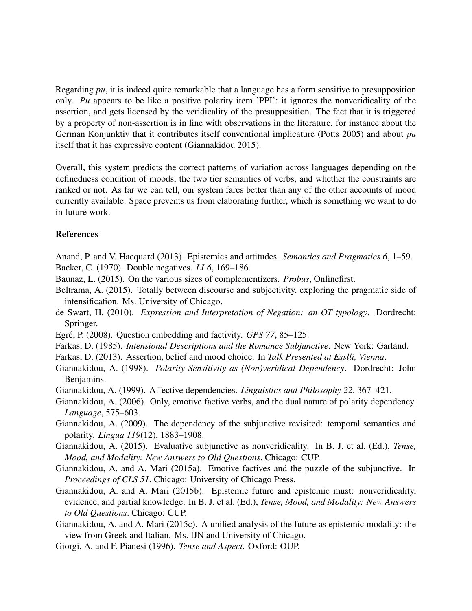Regarding *pu*, it is indeed quite remarkable that a language has a form sensitive to presupposition only. *Pu* appears to be like a positive polarity item 'PPI': it ignores the nonveridicality of the assertion, and gets licensed by the veridicality of the presupposition. The fact that it is triggered by a property of non-assertion is in line with observations in the literature, for instance about the German Konjunktiv that it contributes itself conventional implicature (Potts 2005) and about pu itself that it has expressive content (Giannakidou 2015).

Overall, this system predicts the correct patterns of variation across languages depending on the definedness condition of moods, the two tier semantics of verbs, and whether the constraints are ranked or not. As far we can tell, our system fares better than any of the other accounts of mood currently available. Space prevents us from elaborating further, which is something we want to do in future work.

#### **References**

- Anand, P. and V. Hacquard (2013). Epistemics and attitudes. *Semantics and Pragmatics 6*, 1–59. Backer, C. (1970). Double negatives. *LI 6*, 169–186.
- Baunaz, L. (2015). On the various sizes of complementizers. *Probus*, Onlinefirst.
- Beltrama, A. (2015). Totally between discourse and subjectivity. exploring the pragmatic side of intensification. Ms. University of Chicago.
- de Swart, H. (2010). *Expression and Interpretation of Negation: an OT typology*. Dordrecht: Springer.
- Egré, P. (2008). Question embedding and factivity. *GPS 77*, 85–125.
- Farkas, D. (1985). *Intensional Descriptions and the Romance Subjunctive*. New York: Garland.
- Farkas, D. (2013). Assertion, belief and mood choice. In *Talk Presented at Esslli, Vienna*.
- Giannakidou, A. (1998). *Polarity Sensitivity as (Non)veridical Dependency*. Dordrecht: John Benjamins.
- Giannakidou, A. (1999). Affective dependencies. *Linguistics and Philosophy 22*, 367–421.
- Giannakidou, A. (2006). Only, emotive factive verbs, and the dual nature of polarity dependency. *Language*, 575–603.
- Giannakidou, A. (2009). The dependency of the subjunctive revisited: temporal semantics and polarity. *Lingua 119*(12), 1883–1908.
- Giannakidou, A. (2015). Evaluative subjunctive as nonveridicality. In B. J. et al. (Ed.), *Tense, Mood, and Modality: New Answers to Old Questions*. Chicago: CUP.
- Giannakidou, A. and A. Mari (2015a). Emotive factives and the puzzle of the subjunctive. In *Proceedings of CLS 51*. Chicago: University of Chicago Press.
- Giannakidou, A. and A. Mari (2015b). Epistemic future and epistemic must: nonveridicality, evidence, and partial knowledge. In B. J. et al. (Ed.), *Tense, Mood, and Modality: New Answers to Old Questions*. Chicago: CUP.
- Giannakidou, A. and A. Mari (2015c). A unified analysis of the future as epistemic modality: the view from Greek and Italian. Ms. IJN and University of Chicago.
- Giorgi, A. and F. Pianesi (1996). *Tense and Aspect*. Oxford: OUP.